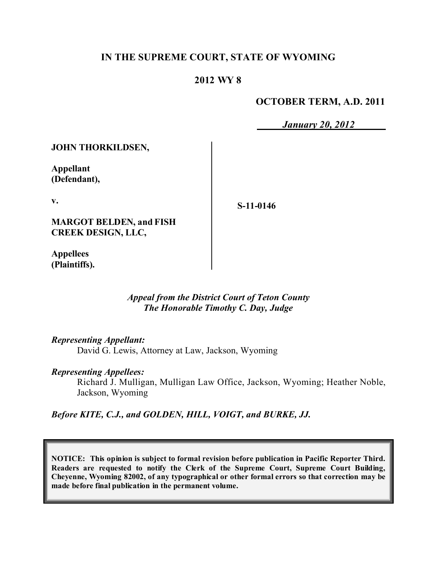### **IN THE SUPREME COURT, STATE OF WYOMING**

### **2012 WY 8**

### **OCTOBER TERM, A.D. 2011**

*January 20, 2012*

**JOHN THORKILDSEN,**

**Appellant (Defendant),**

**v.**

**MARGOT BELDEN, and FISH CREEK DESIGN, LLC,**

**Appellees (Plaintiffs).** **S-11-0146**

*Appeal from the District Court of Teton County The Honorable Timothy C. Day, Judge* 

*Representing Appellant:*

David G. Lewis, Attorney at Law, Jackson, Wyoming

*Representing Appellees:*

Richard J. Mulligan, Mulligan Law Office, Jackson, Wyoming; Heather Noble, Jackson, Wyoming

*Before KITE, C.J., and GOLDEN, HILL, VOIGT, and BURKE, JJ.*

**NOTICE: This opinion is subject to formal revision before publication in Pacific Reporter Third. Readers are requested to notify the Clerk of the Supreme Court, Supreme Court Building, Cheyenne, Wyoming 82002, of any typographical or other formal errors so that correction may be made before final publication in the permanent volume.**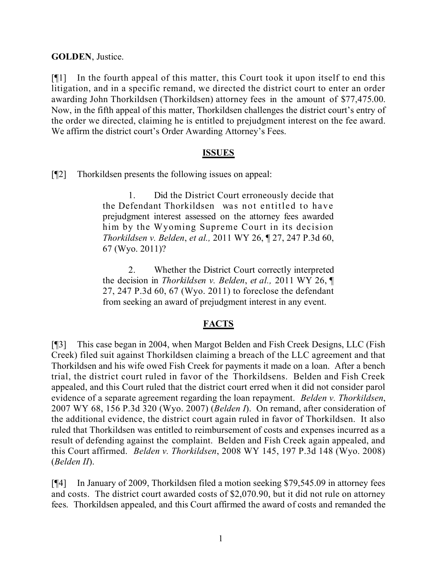**GOLDEN**, Justice.

[¶1] In the fourth appeal of this matter, this Court took it upon itself to end this litigation, and in a specific remand, we directed the district court to enter an order awarding John Thorkildsen (Thorkildsen) attorney fees in the amount of \$77,475.00. Now, in the fifth appeal of this matter, Thorkildsen challenges the district court's entry of the order we directed, claiming he is entitled to prejudgment interest on the fee award. We affirm the district court's Order Awarding Attorney's Fees.

#### **ISSUES**

[¶2] Thorkildsen presents the following issues on appeal:

1. Did the District Court erroneously decide that the Defendant Thorkildsen was not entitled to have prejudgment interest assessed on the attorney fees awarded him by the Wyoming Supreme Court in its decision *Thorkildsen v. Belden*, *et al.,* 2011 WY 26, ¶ 27, 247 P.3d 60, 67 (Wyo. 2011)?

2. Whether the District Court correctly interpreted the decision in *Thorkildsen v. Belden*, *et al.,* 2011 WY 26, ¶ 27, 247 P.3d 60, 67 (Wyo. 2011) to foreclose the defendant from seeking an award of prejudgment interest in any event.

#### **FACTS**

[¶3] This case began in 2004, when Margot Belden and Fish Creek Designs, LLC (Fish Creek) filed suit against Thorkildsen claiming a breach of the LLC agreement and that Thorkildsen and his wife owed Fish Creek for payments it made on a loan. After a bench trial, the district court ruled in favor of the Thorkildsens. Belden and Fish Creek appealed, and this Court ruled that the district court erred when it did not consider parol evidence of a separate agreement regarding the loan repayment. *Belden v. Thorkildsen*, 2007 WY 68, 156 P.3d 320 (Wyo. 2007) (*Belden I*). On remand, after consideration of the additional evidence, the district court again ruled in favor of Thorkildsen. It also ruled that Thorkildsen was entitled to reimbursement of costs and expenses incurred as a result of defending against the complaint. Belden and Fish Creek again appealed, and this Court affirmed. *Belden v. Thorkildsen*, 2008 WY 145, 197 P.3d 148 (Wyo. 2008) (*Belden II*).

[¶4] In January of 2009, Thorkildsen filed a motion seeking \$79,545.09 in attorney fees and costs. The district court awarded costs of \$2,070.90, but it did not rule on attorney fees. Thorkildsen appealed, and this Court affirmed the award of costs and remanded the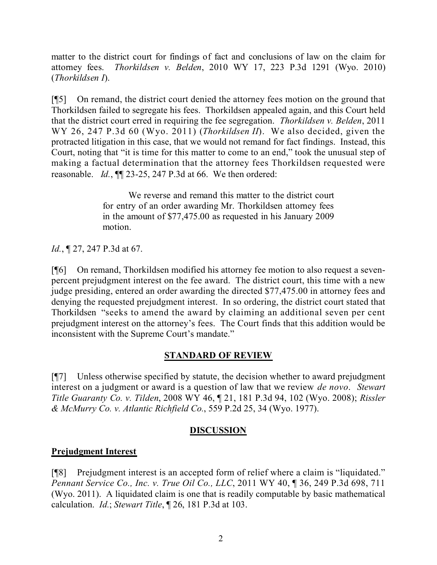matter to the district court for findings of fact and conclusions of law on the claim for attorney fees. *Thorkildsen v. Belden*, 2010 WY 17, 223 P.3d 1291 (Wyo. 2010) (*Thorkildsen I*).

[¶5] On remand, the district court denied the attorney fees motion on the ground that Thorkildsen failed to segregate his fees. Thorkildsen appealed again, and this Court held that the district court erred in requiring the fee segregation. *Thorkildsen v. Belden*, 2011 WY 26, 247 P.3d 60 (Wyo. 2011) (*Thorkildsen II*). We also decided, given the protracted litigation in this case, that we would not remand for fact findings. Instead, this Court, noting that "it is time for this matter to come to an end," took the unusual step of making a factual determination that the attorney fees Thorkildsen requested were reasonable. *Id.*, ¶¶ 23-25, 247 P.3d at 66. We then ordered:

> We reverse and remand this matter to the district court for entry of an order awarding Mr. Thorkildsen attorney fees in the amount of \$77,475.00 as requested in his January 2009 motion.

*Id.*, ¶ 27, 247 P.3d at 67.

[¶6] On remand, Thorkildsen modified his attorney fee motion to also request a sevenpercent prejudgment interest on the fee award. The district court, this time with a new judge presiding, entered an order awarding the directed \$77,475.00 in attorney fees and denying the requested prejudgment interest. In so ordering, the district court stated that Thorkildsen "seeks to amend the award by claiming an additional seven per cent prejudgment interest on the attorney's fees. The Court finds that this addition would be inconsistent with the Supreme Court's mandate."

#### **STANDARD OF REVIEW**

[¶7] Unless otherwise specified by statute, the decision whether to award prejudgment interest on a judgment or award is a question of law that we review *de novo*. *Stewart Title Guaranty Co. v. Tilden*, 2008 WY 46, ¶ 21, 181 P.3d 94, 102 (Wyo. 2008); *Rissler & McMurry Co. v. Atlantic Richfield Co.*, 559 P.2d 25, 34 (Wyo. 1977).

## **DISCUSSION**

## **Prejudgment Interest**

[¶8] Prejudgment interest is an accepted form of relief where a claim is "liquidated." *Pennant Service Co., Inc. v. True Oil Co., LLC*, 2011 WY 40, ¶ 36, 249 P.3d 698, 711 (Wyo. 2011). A liquidated claim is one that is readily computable by basic mathematical calculation. *Id.*; *Stewart Title*, ¶ 26, 181 P.3d at 103.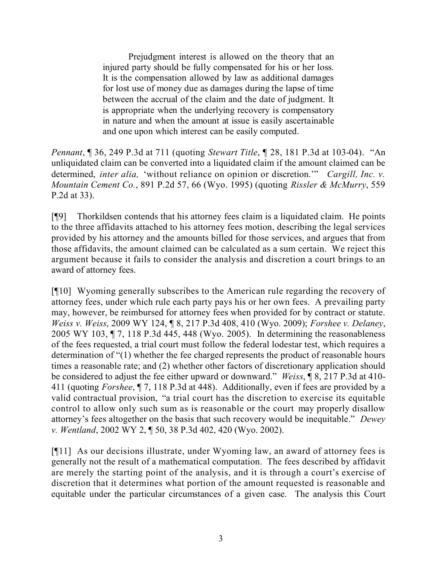Prejudgment interest is allowed on the theory that an injured party should be fully compensated for his or her loss. It is the compensation allowed by law as additional damages for lost use of money due as damages during the lapse of time between the accrual of the claim and the date of judgment. It is appropriate when the underlying recovery is compensatory in nature and when the amount at issue is easily ascertainable and one upon which interest can be easily computed.

*Pennant*, ¶ 36, 249 P.3d at 711 (quoting *Stewart Title*, ¶ 28, 181 P.3d at 103-04). "An unliquidated claim can be converted into a liquidated claim if the amount claimed can be determined, *inter alia,* 'without reliance on opinion or discretion.'" *Cargill, Inc. v. Mountain Cement Co.*, 891 P.2d 57, 66 (Wyo. 1995) (quoting *Rissler & McMurry*, 559 P.2d at 33).

[¶9] Thorkildsen contends that his attorney fees claim is a liquidated claim. He points to the three affidavits attached to his attorney fees motion, describing the legal services provided by his attorney and the amounts billed for those services, and argues that from those affidavits, the amount claimed can be calculated as a sum certain. We reject this argument because it fails to consider the analysis and discretion a court brings to an award of attorney fees.

[¶10] Wyoming generally subscribes to the American rule regarding the recovery of attorney fees, under which rule each party pays his or her own fees. A prevailing party may, however, be reimbursed for attorney fees when provided for by contract or statute. *Weiss v. Weiss*, 2009 WY 124, ¶ 8, 217 P.3d 408, 410 (Wyo. 2009); *Forshee v. Delaney*, 2005 WY 103, ¶ 7, 118 P.3d 445, 448 (Wyo. 2005). In determining the reasonableness of the fees requested, a trial court must follow the federal lodestar test, which requires a determination of "(1) whether the fee charged represents the product of reasonable hours times a reasonable rate; and (2) whether other factors of discretionary application should be considered to adjust the fee either upward or downward." *Weiss*, ¶ 8, 217 P.3d at 410- 411 (quoting *Forshee*, ¶ 7, 118 P.3d at 448). Additionally, even if fees are provided by a valid contractual provision, "a trial court has the discretion to exercise its equitable control to allow only such sum as is reasonable or the court may properly disallow attorney's fees altogether on the basis that such recovery would be inequitable." *Dewey v. Wentland*, 2002 WY 2, ¶ 50, 38 P.3d 402, 420 (Wyo. 2002).

[¶11] As our decisions illustrate, under Wyoming law, an award of attorney fees is generally not the result of a mathematical computation. The fees described by affidavit are merely the starting point of the analysis, and it is through a court's exercise of discretion that it determines what portion of the amount requested is reasonable and equitable under the particular circumstances of a given case. The analysis this Court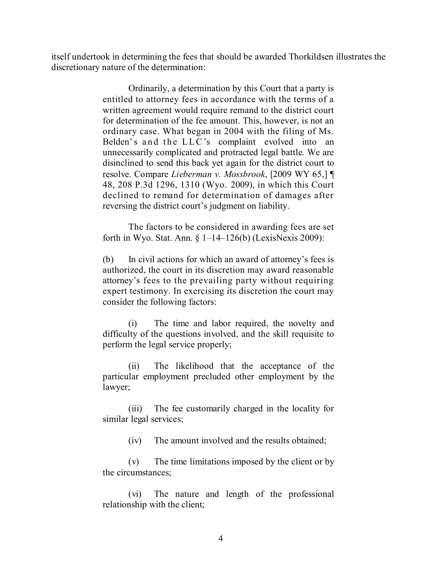itself undertook in determining the fees that should be awarded Thorkildsen illustrates the discretionary nature of the determination:

> Ordinarily, a determination by this Court that a party is entitled to attorney fees in accordance with the terms of a written agreement would require remand to the district court for determination of the fee amount. This, however, is not an ordinary case. What began in 2004 with the filing of Ms. Belden's and the LLC's complaint evolved into an unnecessarily complicated and protracted legal battle. We are disinclined to send this back yet again for the district court to resolve. Compare *Lieberman v. Mossbrook*, [2009 WY 65,] ¶ 48, 208 P.3d 1296, 1310 (Wyo. 2009), in which this Court declined to remand for determination of damages after reversing the district court's judgment on liability.

> The factors to be considered in awarding fees are set forth in Wyo. Stat. Ann.  $\S 1-14-126(b)$  (LexisNexis 2009):

> (b) In civil actions for which an award of attorney's fees is authorized, the court in its discretion may award reasonable attorney's fees to the prevailing party without requiring expert testimony. In exercising its discretion the court may consider the following factors:

> (i) The time and labor required, the novelty and difficulty of the questions involved, and the skill requisite to perform the legal service properly;

> (ii) The likelihood that the acceptance of the particular employment precluded other employment by the lawyer;

> (iii) The fee customarily charged in the locality for similar legal services;

> > (iv) The amount involved and the results obtained;

(v) The time limitations imposed by the client or by the circumstances;

(vi) The nature and length of the professional relationship with the client;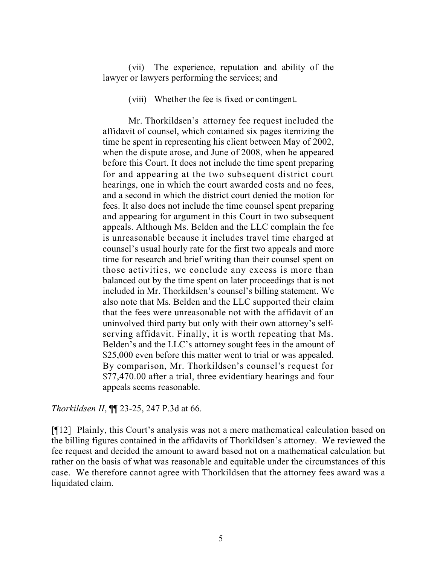(vii) The experience, reputation and ability of the lawyer or lawyers performing the services; and

(viii) Whether the fee is fixed or contingent.

Mr. Thorkildsen's attorney fee request included the affidavit of counsel, which contained six pages itemizing the time he spent in representing his client between May of 2002, when the dispute arose, and June of 2008, when he appeared before this Court. It does not include the time spent preparing for and appearing at the two subsequent district court hearings, one in which the court awarded costs and no fees, and a second in which the district court denied the motion for fees. It also does not include the time counsel spent preparing and appearing for argument in this Court in two subsequent appeals. Although Ms. Belden and the LLC complain the fee is unreasonable because it includes travel time charged at counsel's usual hourly rate for the first two appeals and more time for research and brief writing than their counsel spent on those activities, we conclude any excess is more than balanced out by the time spent on later proceedings that is not included in Mr. Thorkildsen's counsel's billing statement. We also note that Ms. Belden and the LLC supported their claim that the fees were unreasonable not with the affidavit of an uninvolved third party but only with their own attorney's selfserving affidavit. Finally, it is worth repeating that Ms. Belden's and the LLC's attorney sought fees in the amount of \$25,000 even before this matter went to trial or was appealed. By comparison, Mr. Thorkildsen's counsel's request for \$77,470.00 after a trial, three evidentiary hearings and four appeals seems reasonable.

*Thorkildsen II*, ¶¶ 23-25, 247 P.3d at 66.

[¶12] Plainly, this Court's analysis was not a mere mathematical calculation based on the billing figures contained in the affidavits of Thorkildsen's attorney. We reviewed the fee request and decided the amount to award based not on a mathematical calculation but rather on the basis of what was reasonable and equitable under the circumstances of this case. We therefore cannot agree with Thorkildsen that the attorney fees award was a liquidated claim.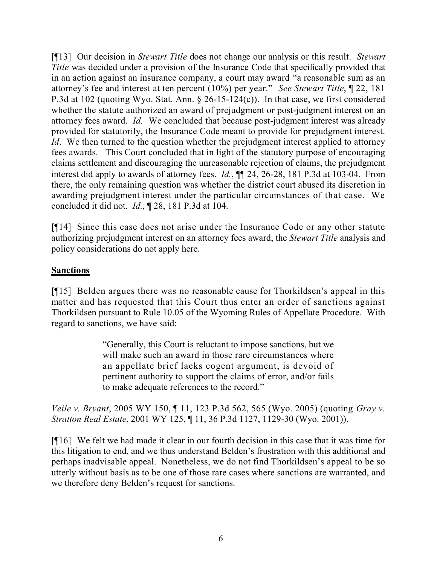[¶13] Our decision in *Stewart Title* does not change our analysis or this result. *Stewart Title* was decided under a provision of the Insurance Code that specifically provided that in an action against an insurance company, a court may award "a reasonable sum as an attorney's fee and interest at ten percent (10%) per year." *See Stewart Title*, ¶ 22, 181 P.3d at 102 (quoting Wyo. Stat. Ann. § 26-15-124(c)). In that case, we first considered whether the statute authorized an award of prejudgment or post-judgment interest on an attorney fees award. *Id.* We concluded that because post-judgment interest was already provided for statutorily, the Insurance Code meant to provide for prejudgment interest. *Id*. We then turned to the question whether the prejudgment interest applied to attorney fees awards. This Court concluded that in light of the statutory purpose of encouraging claims settlement and discouraging the unreasonable rejection of claims, the prejudgment interest did apply to awards of attorney fees. *Id.*, ¶¶ 24, 26-28, 181 P.3d at 103-04. From there, the only remaining question was whether the district court abused its discretion in awarding prejudgment interest under the particular circumstances of that case. We concluded it did not. *Id.*, ¶ 28, 181 P.3d at 104.

[¶14] Since this case does not arise under the Insurance Code or any other statute authorizing prejudgment interest on an attorney fees award, the *Stewart Title* analysis and policy considerations do not apply here.

## **Sanctions**

[¶15] Belden argues there was no reasonable cause for Thorkildsen's appeal in this matter and has requested that this Court thus enter an order of sanctions against Thorkildsen pursuant to Rule 10.05 of the Wyoming Rules of Appellate Procedure. With regard to sanctions, we have said:

> "Generally, this Court is reluctant to impose sanctions, but we will make such an award in those rare circumstances where an appellate brief lacks cogent argument, is devoid of pertinent authority to support the claims of error, and/or fails to make adequate references to the record."

*Veile v. Bryant*, 2005 WY 150, ¶ 11, 123 P.3d 562, 565 (Wyo. 2005) (quoting *Gray v. Stratton Real Estate*, 2001 WY 125, ¶ 11, 36 P.3d 1127, 1129-30 (Wyo. 2001)).

[¶16] We felt we had made it clear in our fourth decision in this case that it was time for this litigation to end, and we thus understand Belden's frustration with this additional and perhaps inadvisable appeal. Nonetheless, we do not find Thorkildsen's appeal to be so utterly without basis as to be one of those rare cases where sanctions are warranted, and we therefore deny Belden's request for sanctions.